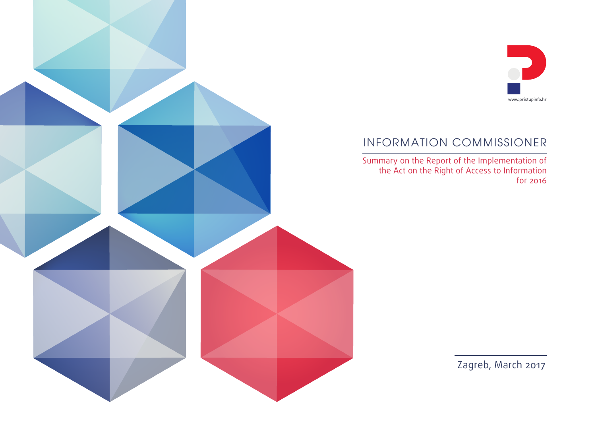

### INFORMATION COMMISSIONER

Summary on the Report of the Implementation of the Act on the Right of Access to Information for 2016

Zagreb, March 2017

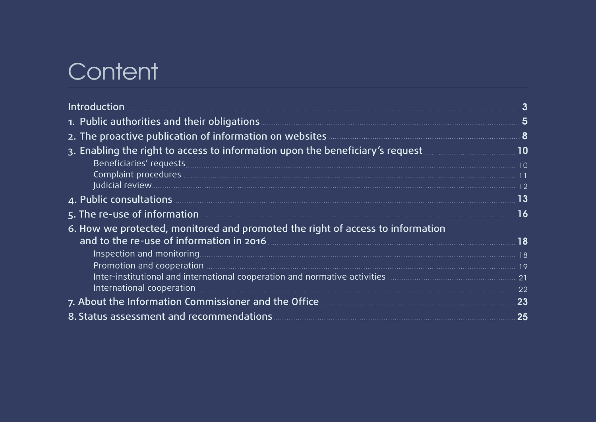# **Content**

| 1. Public authorities and their obligations <b>Executive Construction</b> by the set of the set of the set of the set                                        |    |
|--------------------------------------------------------------------------------------------------------------------------------------------------------------|----|
| 2. The proactive publication of information on websites <b>Communications</b> and the proactive publication of information on websites <b>Communications</b> |    |
|                                                                                                                                                              |    |
|                                                                                                                                                              |    |
| Beneficiaries' requests<br>Complaint procedures<br>Judicial review 12                                                                                        |    |
|                                                                                                                                                              |    |
|                                                                                                                                                              | 13 |
| 5. The re-use of information <b>Exercise Exercise 20</b> in the result of the set of information                                                             |    |
| 6. How we protected, monitored and promoted the right of access to information                                                                               |    |
| and to the re-use of information in 2016 <b>Constitution</b> 18                                                                                              |    |
|                                                                                                                                                              |    |
|                                                                                                                                                              |    |
|                                                                                                                                                              |    |
|                                                                                                                                                              |    |
|                                                                                                                                                              |    |
| 8. Status assessment and recommendations <b>Communities</b> 25                                                                                               |    |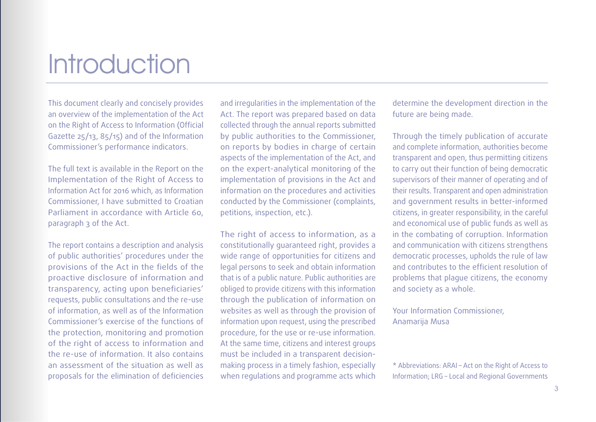# **Introduction**

This document clearly and concisely provides an overview of the implementation of the Act on the Right of Access to Information (Official Gazette 25/13, 85/15) and of the Information Commissioner's performance indicators.

The full text is available in the Report on the Implementation of the Right of Access to Information Act for 2016 which, as Information Commissioner, I have submitted to Croatian Parliament in accordance with Article 60, paragraph 3 of the Act.

The report contains a description and analysis of public authorities' procedures under the provisions of the Act in the fields of the proactive disclosure of information and transparency, acting upon beneficiaries' requests, public consultations and the re-use of information, as well as of the Information Commissioner's exercise of the functions of the protection, monitoring and promotion of the right of access to information and the re-use of information. It also contains an assessment of the situation as well as proposals for the elimination of deficiencies and irregularities in the implementation of the Act. The report was prepared based on data collected through the annual reports submitted by public authorities to the Commissioner, on reports by bodies in charge of certain aspects of the implementation of the Act, and on the expert-analytical monitoring of the implementation of provisions in the Act and information on the procedures and activities conducted by the Commissioner (complaints, petitions, inspection, etc.).

The right of access to information, as a constitutionally guaranteed right, provides a wide range of opportunities for citizens and legal persons to seek and obtain information that is of a public nature. Public authorities are obliged to provide citizens with this information through the publication of information on websites as well as through the provision of information upon request, using the prescribed procedure, for the use or re-use information. At the same time, citizens and interest groups must be included in a transparent decisionmaking process in a timely fashion, especially when regulations and programme acts which

determine the development direction in the future are being made.

Through the timely publication of accurate and complete information, authorities become transparent and open, thus permitting citizens to carry out their function of being democratic supervisors of their manner of operating and of their results. Transparent and open administration and government results in better-informed citizens, in greater responsibility, in the careful and economical use of public funds as well as in the combating of corruption. Information and communication with citizens strengthens democratic processes, upholds the rule of law and contributes to the efficient resolution of problems that plague citizens, the economy and society as a whole.

Your Information Commissioner, Anamarija Musa

\* Abbreviations: ARAI – Act on the Right of Access to Information; LRG – Local and Regional Governments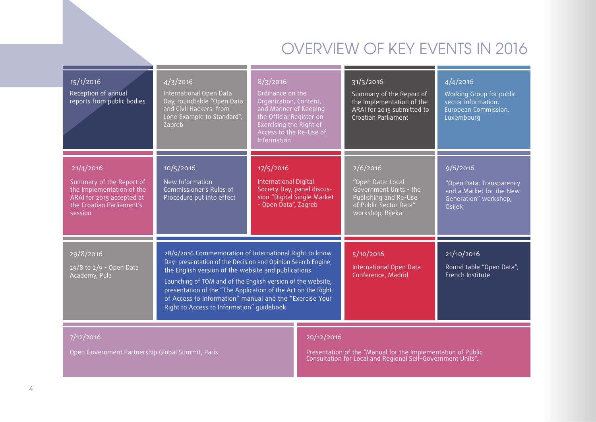# OVERVIEW OF KEY EVENTS IN 2016

| 15/1/2016<br>Reception of annual<br>reports from public bodies                                                                          | 4/3/2016<br>International Open Data<br>Day, roundtable "Open Data<br>and Civil Hackers: from<br>Lone Example to Standard",<br>Zagreb | $\sqrt{8}/3/2016$<br>Ordinance on the<br>Organization, Content,<br>and Manner of Keeping<br>the Official Register on<br>Exercising the Right of<br>Access to the Re-Use of<br>Information                                                                                                                                                                               |                             | 31/3/2016<br>Summary of the Report of<br>the Implementation of the<br>ARAI for 2015 submitted to<br>Croatian Parliament        | 4/4/2016<br>Working Group for public<br>sector information,<br>European Commission,<br>Luxembourg   |
|-----------------------------------------------------------------------------------------------------------------------------------------|--------------------------------------------------------------------------------------------------------------------------------------|-------------------------------------------------------------------------------------------------------------------------------------------------------------------------------------------------------------------------------------------------------------------------------------------------------------------------------------------------------------------------|-----------------------------|--------------------------------------------------------------------------------------------------------------------------------|-----------------------------------------------------------------------------------------------------|
| 21/4/2016<br>Summary of the Report of<br>the Implementation of the<br>ARAI for 2015 accepted at<br>the Croatian Parliament's<br>session | 10/5/2016<br>New Information<br>Commissioner's Rules of<br>Procedure put into effect                                                 | 17/5/2016<br><b>International Digital</b><br>Society Day, panel discus-<br>- Open Data", Zagreb                                                                                                                                                                                                                                                                         | sion "Digital Single Market | 2/6/2016<br>"Open Data: Local<br>Government Units - the<br>Publishing and Re-Use<br>of Public Sector Data"<br>workshop, Rijeka | 9/6/2016<br>"Open Data: Transparency<br>and a Market for the New<br>Generation" workshop,<br>Osijek |
| 29/8/2016<br>29/8 to 2/9 - Open Data<br>Academy, Pula                                                                                   | Right to Access to Information" guidebook                                                                                            | 28/9/2016 Commemoration of International Right to know<br>Day: presentation of the Decision and Opinion Search Engine,<br>the English version of the website and publications<br>Launching of TOM and of the English version of the website,<br>presentation of the "The Application of the Act on the Right<br>of Access to Information" manual and the "Exercise Your |                             | 5/10/2016<br>International Open Data<br>Conference, Madrid                                                                     | 21/10/2016<br>Round table "Open Data",<br>French Institute                                          |
| 7/12/2016<br>Open Government Partnership Global Summit, Paris                                                                           |                                                                                                                                      |                                                                                                                                                                                                                                                                                                                                                                         | 20/12/2016                  | Presentation of the "Manual for the Implementation of Public<br>Consultation for Local and Regional Self-Government Units".    |                                                                                                     |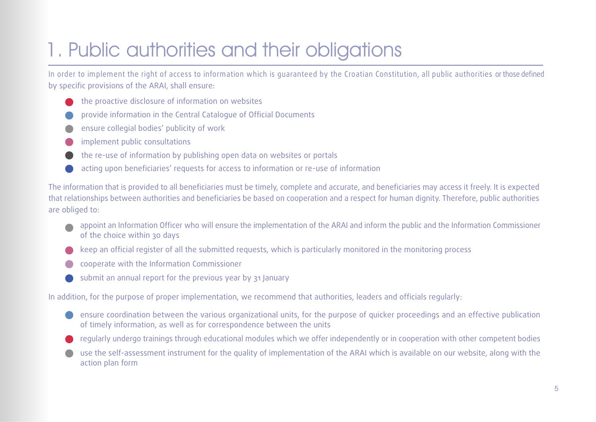# <span id="page-4-0"></span>1. Public authorities and their obligations

In order to implement the right of access to information which is guaranteed by the Croatian Constitution, all public authorities or those defined by specific provisions of the ARAI, shall ensure:

- the proactive disclosure of information on websites
- provide information in the Central Catalogue of Official Documents
- ensure collegial bodies' publicity of work
- implement public consultations
- the re-use of information by publishing open data on websites or portals
- acting upon beneficiaries' requests for access to information or re-use of information

The information that is provided to all beneficiaries must be timely, complete and accurate, and beneficiaries may access it freely. It is expected that relationships between authorities and beneficiaries be based on cooperation and a respect for human dignity. Therefore, public authorities are obliged to:

- appoint an Information Officer who will ensure the implementation of the ARAI and inform the public and the Information Commissioner of the choice within 30 days
- keep an official register of all the submitted requests, which is particularly monitored in the monitoring process
- cooperate with the Information Commissioner
- submit an annual report for the previous year by 31 January

In addition, for the purpose of proper implementation, we recommend that authorities, leaders and officials regularly:

- ensure coordination between the various organizational units, for the purpose of quicker proceedings and an effective publication of timely information, as well as for correspondence between the units
- regularly undergo trainings through educational modules which we offer independently or in cooperation with other competent bodies
- use the self-assessment instrument for the quality of implementation of the ARAI which is available on our website, along with the action plan form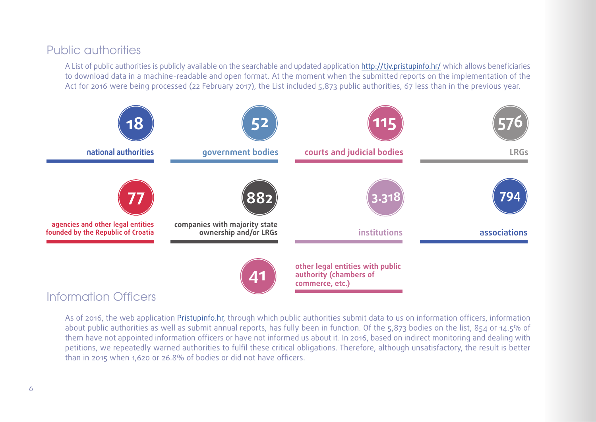#### Public authorities

A List of public authorities is publicly available on the searchable and updated application <http://tjv.pristupinfo.hr/> which allows beneficiaries to download data in a machine-readable and open format. At the moment when the submitted reports on the implementation of the Act for 2016 were being processed (22 February 2017), the List included 5,873 public authorities, 67 less than in the previous year.



As of 2016, the web application [Pristupinfo.hr,](http://www.pristupinfo.hr/) through which public authorities submit data to us on information officers, information about public authorities as well as submit annual reports, has fully been in function. Of the 5,873 bodies on the list, 854 or 14.5% of them have not appointed information officers or have not informed us about it. In 2016, based on indirect monitoring and dealing with petitions, we repeatedly warned authorities to fulfil these critical obligations. Therefore, although unsatisfactory, the result is better than in 2015 when 1,620 or 26.8% of bodies or did not have officers.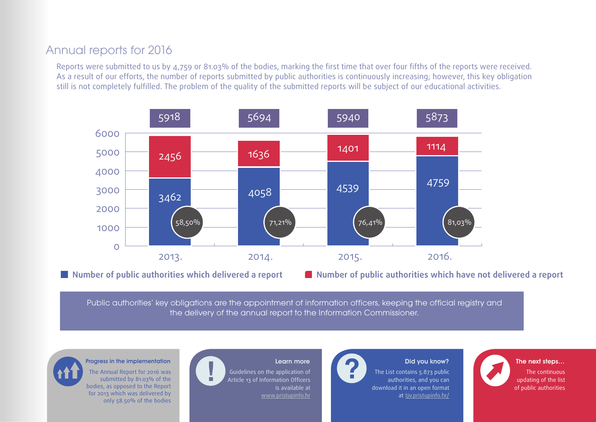#### Annual reports for 2016

Reports were submitted to us by 4,759 or 81.03% of the bodies, marking the first time that over four fifths of the reports were received. As a result of our efforts, the number of reports submitted by public authorities is continuously increasing; however, this key obligation still is not completely fulfilled. The problem of the quality of the submitted reports will be subject of our educational activities.



**Number of public authorities which delivered a report Number of public authorities which have not delivered a report**

Public authorities' key obligations are the appointment of information officers, keeping the official registry and the delivery of the annual report to the Information Commissioner.

The Annual Report for 2016 was submitted by 81.03% of the bodies, as opposed to the Report for 2013 which was delivered by only 58.50% of the bodies

#### Progress in the implementation **Learn more** Learn more **Did you know?** The next steps... Guidelines on the application of Article 13 of Information Officers is available at [www.pristupinfo.hr](http://www.pristupinfo.hr)



The List contains 5.873 public authorities, and you can download it in an open format at tiv.pristupinfo.hr/



7 of public authoritiesThe continuous updating of the list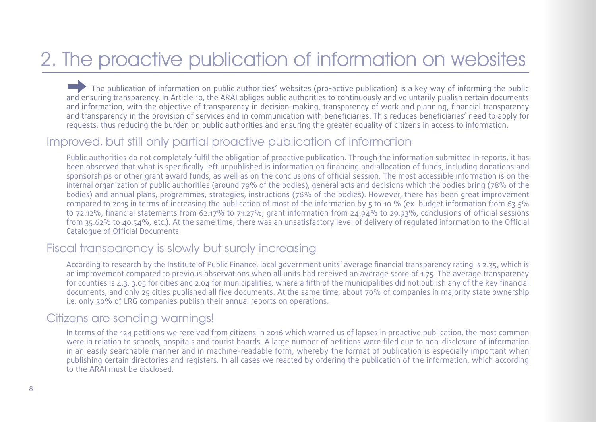# <span id="page-7-0"></span>2. The proactive publication of information on websites

The publication of information on public authorities' websites (pro-active publication) is a key way of informing the public and ensuring transparency. In Article 10, the ARAI obliges public authorities to continuously and voluntarily publish certain documents and information, with the objective of transparency in decision-making, transparency of work and planning, financial transparency and transparency in the provision of services and in communication with beneficiaries. This reduces beneficiaries' need to apply for requests, thus reducing the burden on public authorities and ensuring the greater equality of citizens in access to information.

#### Improved, but still only partial proactive publication of information

Public authorities do not completely fulfil the obligation of proactive publication. Through the information submitted in reports, it has been observed that what is specifically left unpublished is information on financing and allocation of funds, including donations and sponsorships or other grant award funds, as well as on the conclusions of official session. The most accessible information is on the internal organization of public authorities (around 79% of the bodies), general acts and decisions which the bodies bring (78% of the bodies) and annual plans, programmes, strategies, instructions (76% of the bodies). However, there has been great improvement compared to 2015 in terms of increasing the publication of most of the information by 5 to 10 % (ex. budget information from 63.5% to 72.12%, financial statements from 62.17% to 71.27%, grant information from 24.94% to 29.93%, conclusions of official sessions from 35.62% to 40.54%, etc.). At the same time, there was an unsatisfactory level of delivery of regulated information to the Official Catalogue of Official Documents.

#### Fiscal transparency is slowly but surely increasing

According to research by the Institute of Public Finance, local government units' average financial transparency rating is 2.35, which is an improvement compared to previous observations when all units had received an average score of 1.75. The average transparency for counties is 4.3, 3.05 for cities and 2.04 for municipalities, where a fifth of the municipalities did not publish any of the key financial documents, and only 25 cities published all five documents. At the same time, about 70% of companies in majority state ownership i.e. only 30% of LRG companies publish their annual reports on operations.

#### Citizens are sending warnings!

In terms of the 124 petitions we received from citizens in 2016 which warned us of lapses in proactive publication, the most common were in relation to schools, hospitals and tourist boards. A large number of petitions were filed due to non-disclosure of information in an easily searchable manner and in machine-readable form, whereby the format of publication is especially important when publishing certain directories and registers. In all cases we reacted by ordering the publication of the information, which according to the ARAI must be disclosed.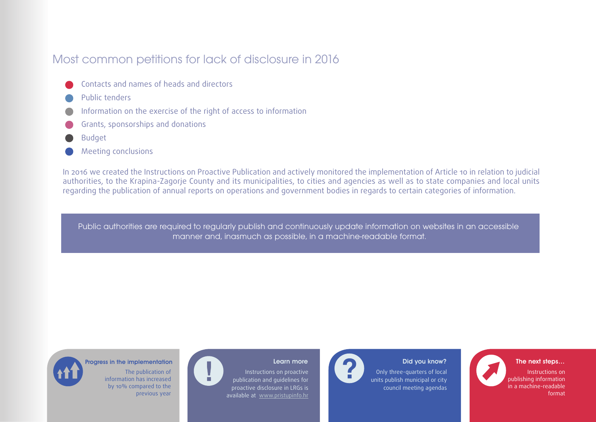#### Most common petitions for lack of disclosure in 2016

- Contacts and names of heads and directors
- Public tenders
- Information on the exercise of the right of access to information
- Grants, sponsorships and donations
- Budget
- Meeting conclusions

In 2016 we created the Instructions on Proactive Publication and actively monitored the implementation of Article 10 in relation to judicial authorities, to the Krapina-Zagorje County and its municipalities, to cities and agencies as well as to state companies and local units regarding the publication of annual reports on operations and government bodies in regards to certain categories of information.

Public authorities are required to regularly publish and continuously update information on websites in an accessible manner and, inasmuch as possible, in a machine-readable format.



#### Progress in the implementation **Learn Manual Learn more** Did you know?

The publication of information has increased by 10% compared to the previous year



Instructions on proactive

Only three-quarters of local units publish municipal or city council meeting agendas 9 in a machine-readable The next steps… Instructions on publishing information

format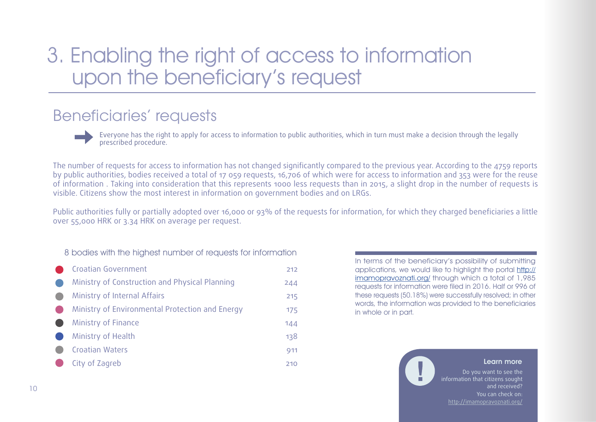# <span id="page-9-0"></span>3. Enabling the right of access to information upon the beneficiary's request

## Beneficiaries' requests

Everyone has the right to apply for access to information to public authorities, which in turn must make a decision through the legally prescribed procedure.

The number of requests for access to information has not changed significantly compared to the previous year. According to the 4759 reports by public authorities, bodies received a total of 17 059 requests, 16,706 of which were for access to information and 353 were for the reuse of information . Taking into consideration that this represents 1000 less requests than in 2015, a slight drop in the number of requests is visible. Citizens show the most interest in information on government bodies and on LRGs.

Public authorities fully or partially adopted over 16,000 or 93% of the requests for information, for which they charged beneficiaries a little over 55,000 HRK or 3.34 HRK on average per request.

#### 8 bodies with the highest number of requests for information

Croatian Government Ministry of Construction and Physical Planning Ministry of Internal Affairs Ministry of Environmental Protection and Energy Ministry of Finance Ministry of Health Croatian Waters City of Zagreb 212 244 215 175 144 138 911 210

In terms of the beneficiary's possibility of submitting applications, we would like to highlight the portal [http://](http://imamopravoznati.org/) [imamopravoznati.org/](http://imamopravoznati.org/) through which a total of 1,985 requests for information were filed in 2016. Half or 996 of these requests (50.18%) were successfully resolved; in other words, the information was provided to the beneficiaries in whole or in part.

#### Learn more

Do you want to see the information that citizens sought and received? You can check on: [http://imamopravoznati.org/](http://imamopravoznati.org/ )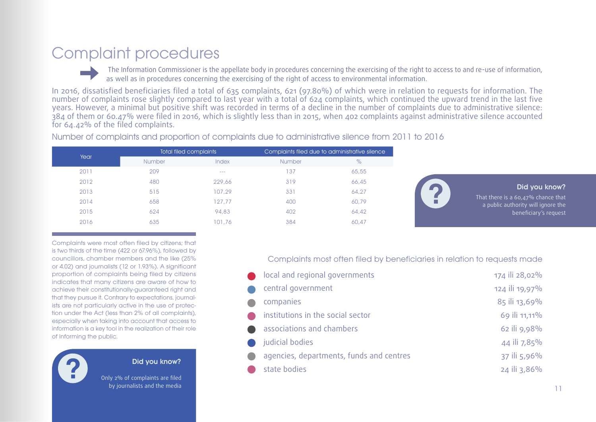# <span id="page-10-0"></span>Complaint procedures

 The Information Commissioner is the appellate body in procedures concerning the exercising of the right to access to and re-use of information, as well as in procedures concerning the exercising of the right of access to environmental information.

In 2016, dissatisfied beneficiaries filed a total of 635 complaints, 621 (97.80%) of which were in relation to requests for information. The number of complaints rose slightly compared to last year with a total of 624 complaints, which continued the upward trend in the last five years. However, a minimal but positive shift was recorded in terms of a decline in the number of complaints due to administrative silence: 384 of them or 60.47% were filed in 2016, which is slightly less than in 2015, when 402 complaints against administrative silence accounted for 64.42% of the filed complaints.

Number of complaints and proportion of complaints due to administrative silence from 2011 to 2016

| Year | Total filed complaints |         |               | Complaints filed due to administrative silence |  |  |
|------|------------------------|---------|---------------|------------------------------------------------|--|--|
|      | <b>Number</b>          | Index   | <b>Number</b> | $\%$                                           |  |  |
| 2011 | 209                    | $- - -$ | 137           | 65,55                                          |  |  |
| 2012 | 480                    | 229,66  | 319           | 66,45                                          |  |  |
| 2013 | 515                    | 107.29  | 331           | 64,27                                          |  |  |
| 2014 | 658                    | 127,77  | 400           | 60,79                                          |  |  |
| 2015 | 624                    | 94,83   | 402           | 64,42                                          |  |  |
| 2016 | 635                    | 101,76  | 384           | 60,47                                          |  |  |
|      |                        |         |               |                                                |  |  |



Did you know?

That there is a 60,47% chance that a public authority will ignore the beneficiary's request

Complaints were most often filed by citizens; that is two thirds of the time (422 or 67.96%), followed by councillors, chamber members and the like (25% or 4.02) and journalists (12 or 1.93%). A significant proportion of complaints being filed by citizens indicates that many citizens are aware of how to achieve their constitutionally-guaranteed right and that they pursue it. Contrary to expectations, journalists are not particularly active in the use of protection under the Act (less than 2% of all complaints), especially when taking into account that access to information is a key tool in the realization of their role of informing the public.



Did you know?

Only 2% of complaints are filed by journalists and the media Complaints most often filed by beneficiaries in relation to requests made

| local and regional governments           | 174 ili 28,02% |
|------------------------------------------|----------------|
| central government                       | 124 ili 19,97% |
| companies                                | 85 ili 13,69%  |
| institutions in the social sector        | 69 ili 11,11%  |
| associations and chambers                | 62 ili 9,98%   |
| judicial bodies                          | 44 ili 7,85%   |
| agencies, departments, funds and centres | 37 ili 5,96%   |
| state bodies                             | 24 ili 3,86%   |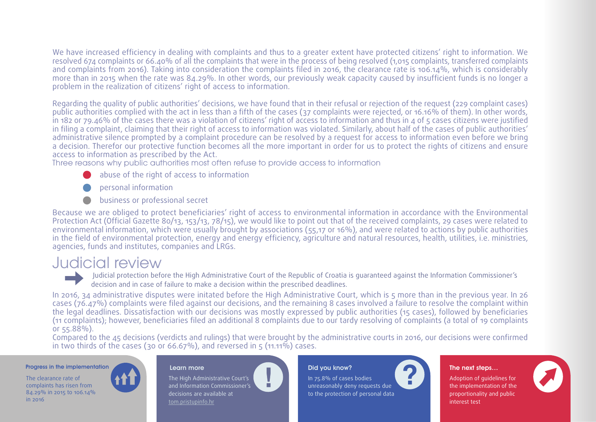<span id="page-11-0"></span>We have increased efficiency in dealing with complaints and thus to a greater extent have protected citizens' right to information. We resolved 674 complaints or 66.40% of all the complaints that were in the process of being resolved (1,015 complaints, transferred complaints and complaints from 2016). Taking into consideration the complaints filed in 2016, the clearance rate is 106.14%, which is considerably more than in 2015 when the rate was 84.29%. In other words, our previously weak capacity caused by insufficient funds is no longer a problem in the realization of citizens' right of access to information.

Regarding the quality of public authorities' decisions, we have found that in their refusal or rejection of the request (229 complaint cases) public authorities complied with the act in less than a fifth of the cases (37 complaints were rejected, or 16.16% of them). In other words, in 182 or 79.46% of the cases there was a violation of citizens' right of access to information and thus in 4 of 5 cases citizens were justified in filing a complaint, claiming that their right of access to information was violated. Similarly, about half of the cases of public authorities' administrative silence prompted by a complaint procedure can be resolved by a request for access to information even before we bring a decision. Therefor our protective function becomes all the more important in order for us to protect the rights of citizens and ensure access to information as prescribed by the Act.

Three reasons why public authorities most often refuse to provide access to information

- abuse of the right of access to information
- personal information
- business or professional secret

Because we are obliged to protect beneficiaries' right of access to environmental information in accordance with the Environmental Protection Act (Official Gazette 80/13, 153/13, 78/15), we would like to point out that of the received complaints, 29 cases were related to environmental information, which were usually brought by associations (55,17 or 16%), and were related to actions by public authorities in the field of environmental protection, energy and energy efficiency, agriculture and natural resources, health, utilities, i.e. ministries, agencies, funds and institutes, companies and LRGs.

## Judicial review

Judicial protection before the High Administrative Court of the Republic of Croatia is guaranteed against the Information Commissioner's decision and in case of failure to make a decision within the prescribed deadlines.

In 2016, 34 administrative disputes were initated before the High Administrative Court, which is 5 more than in the previous year. In 26 cases (76.47%) complaints were filed against our decisions, and the remaining 8 cases involved a failure to resolve the complaint within the legal deadlines. Dissatisfaction with our decisions was mostly expressed by public authorities (15 cases), followed by beneficiaries (11 complaints); however, beneficiaries filed an additional 8 complaints due to our tardy resolving of complaints (a total of 19 complaints or 55.88%).

Compared to the 45 decisions (verdicts and rulings) that were brought by the administrative courts in 2016, our decisions were confirmed in two thirds of the cases (30 or 66.67%), and reversed in  $\zeta$  (11.11%) cases.

#### Progress in the implementation Learn more Learn more Did you know? The next steps...

12 84.29% in 2015 to 106.14% The clearance rate of complaints has risen from in 2016



The High Administrative Court's and Information Commissioner's decisions are available at [tom.pristupinfo.hr](http://tom.pristupinfo.hr)

In 75.8% of cases bodies unreasonably deny requests due to the protection of personal data

Adoption of guidelines for the implementation of the proportionality and public interest test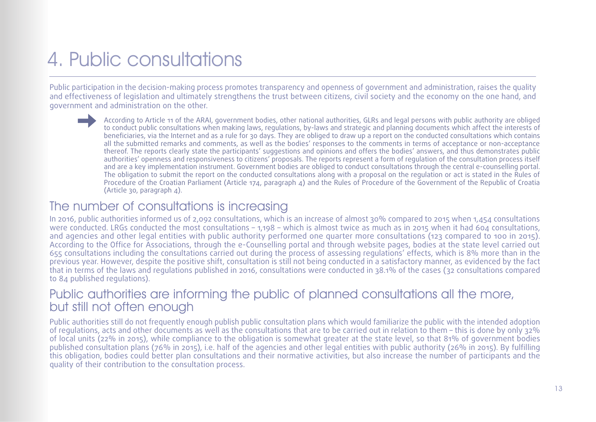# <span id="page-12-0"></span>4. Public consultations

Public participation in the decision-making process promotes transparency and openness of government and administration, raises the quality and effectiveness of legislation and ultimately strengthens the trust between citizens, civil society and the economy on the one hand, and government and administration on the other.

> According to Article 11 of the ARAI, government bodies, other national authorities, GLRs and legal persons with public authority are obliged to conduct public consultations when making laws, regulations, by-laws and strategic and planning documents which affect the interests of beneficiaries, via the Internet and as a rule for 30 days. They are obliged to draw up a report on the conducted consultations which contains all the submitted remarks and comments, as well as the bodies' responses to the comments in terms of acceptance or non-acceptance thereof. The reports clearly state the participants' suggestions and opinions and offers the bodies' answers, and thus demonstrates public authorities' openness and responsiveness to citizens' proposals. The reports represent a form of regulation of the consultation process itself and are a key implementation instrument. Government bodies are obliged to conduct consultations through the central e-counselling portal. The obligation to submit the report on the conducted consultations along with a proposal on the regulation or act is stated in the Rules of Procedure of the Croatian Parliament (Article 174, paragraph 4) and the Rules of Procedure of the Government of the Republic of Croatia (Article 30, paragraph 4).

#### The number of consultations is increasing

In 2016, public authorities informed us of 2,092 consultations, which is an increase of almost 30% compared to 2015 when 1,454 consultations were conducted. LRGs conducted the most consultations – 1,198 – which is almost twice as much as in 2015 when it had 604 consultations, and agencies and other legal entities with public authority performed one quarter more consultations (123 compared to 100 in 2015). According to the Office for Associations, through the e-Counselling portal and through website pages, bodies at the state level carried out 655 consultations including the consultations carried out during the process of assessing regulations' effects, which is 8% more than in the previous year. However, despite the positive shift, consultation is still not being conducted in a satisfactory manner, as evidenced by the fact that in terms of the laws and regulations published in 2016, consultations were conducted in 38.1% of the cases (32 consultations compared to 84 published regulations).

#### Public authorities are informing the public of planned consultations all the more, but still not often enough

Public authorities still do not frequently enough publish public consultation plans which would familiarize the public with the intended adoption of regulations, acts and other documents as well as the consultations that are to be carried out in relation to them – this is done by only 32% of local units (22% in 2015), while compliance to the obligation is somewhat greater at the state level, so that 81% of government bodies published consultation plans (76% in 2015), i.e. half of the agencies and other legal entities with public authority (26% in 2015). By fulfilling this obligation, bodies could better plan consultations and their normative activities, but also increase the number of participants and the quality of their contribution to the consultation process.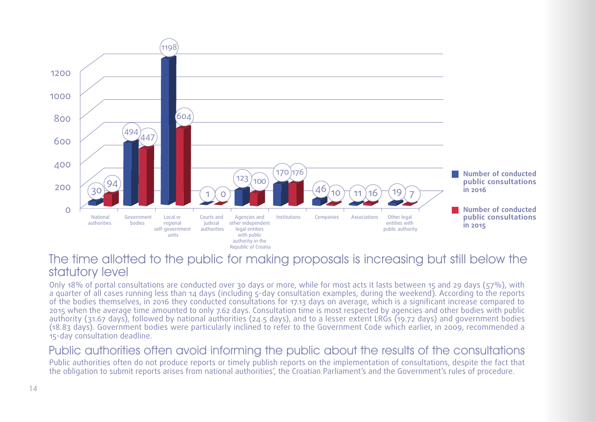

#### The time allotted to the public for making proposals is increasing but still below the statutory level

Only 18% of portal consultations are conducted over 30 days or more, while for most acts it lasts between 15 and 29 days (57%), with a quarter of all cases running less than 14 days (including 5-day consultation examples, during the weekend). According to the reports of the bodies themselves, in 2016 they conducted consultations for 17.13 days on average, which is a significant increase compared to 2015 when the average time amounted to only 7.62 days. Consultation time is most respected by agencies and other bodies with public authority (31.67 days), followed by national authorities (24.5 days), and to a lesser extent LRGs (19.72 days) and government bodies (18.83 days). Government bodies were particularly inclined to refer to the Government Code which earlier, in 2009, recommended a 15-day consultation deadline.

#### Public authorities often avoid informing the public about the results of the consultations

Public authorities often do not produce reports or timely publish reports on the implementation of consultations, despite the fact that the obligation to submit reports arises from national authorities', the Croatian Parliament's and the Government's rules of procedure.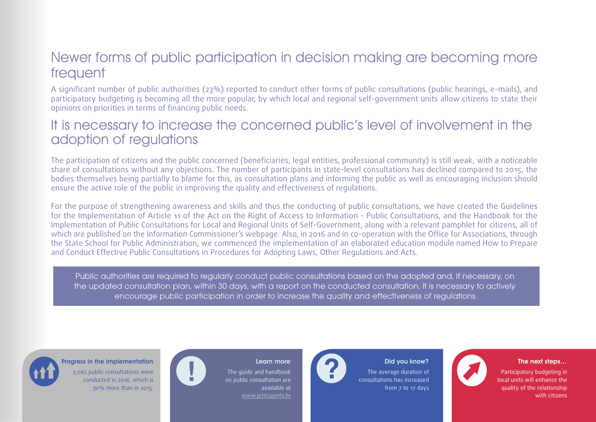## Newer forms of public participation in decision making are becoming more frequent

A significant number of public authorities (23%) reported to conduct other forms of public consultations (public hearings, e-mails), and participatory budgeting is becoming all the more popular, by which local and regional self-government units allow citizens to state their opinions on priorities in terms of financing public needs.

### It is necessary to increase the concerned public's level of involvement in the adoption of regulations

The participation of citizens and the public concerned (beneficiaries, legal entities, professional community) is still weak, with a noticeable share of consultations without any objections. The number of participants in state-level consultations has declined compared to 2015, the bodies themselves being partially to blame for this, as consultation plans and informing the public as well as encouraging inclusion should ensure the active role of the public in improving the quality and effectiveness of regulations.

For the purpose of strengthening awareness and skills and thus the conducting of public consultations, we have created the Guidelines for the Implementation of Article 11 of the Act on the Right of Access to Information - Public Consultations, and the Handbook for the Implementation of Public Consultations for Local and Regional Units of Self-Government, along with a relevant pamphlet for citizens, all of which are published on the Information Commissioner's webpage. Also, in 2016 and in co-operation with the Office for Associations, through the State School for Public Administration, we commenced the implementation of an elaborated education module named How to Prepare and Conduct Effective Public Consultations in Procedures for Adopting Laws, Other Regulations and Acts.

Public authorities are required to regularly conduct public consultations based on the adopted and, if necessary, on the updated consultation plan, within 30 days, with a report on the conducted consultation. It is necessary to actively encourage public participation in order to increase the quality and effectiveness of regulations.



#### Progress in the implementation **EXT AND REAL EXT AND REAL EXT AND REAL EXT AND REAL EXT AND REAL EXT AND REAL EXT AND REAL EXT AND REAL EXT AND REAL EXT AND REAL EXT AND REAL EXT AND REAL EXT AND REAL EXT AND REAL EXT AND**

2,062 public consultations were conducted in 2016, which is 30% more than in 2015.

The guide and handbook on public consultation are available at [www.pristupinfo.hr](http://www.pristupinfo.hr)

#### The average duration of consultations has increased from 7 to 17 days



quality of the relationship Participatory budgeting in local units will enhance the with citizens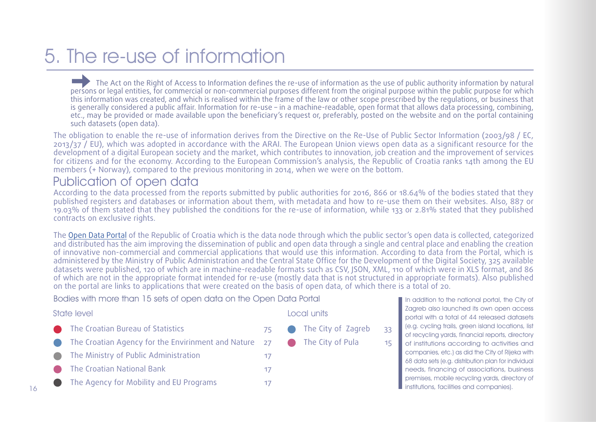# <span id="page-15-0"></span>5. The re-use of information

The Act on the Right of Access to Information defines the re-use of information as the use of public authority information by natural persons or legal entities, for commercial or non-commercial purposes different from the original purpose within the public purpose for which this information was created, and which is realised within the frame of the law or other scope prescribed by the regulations, or business that is generally considered a public affair. Information for re-use – in a machine-readable, open format that allows data processing, combining, etc., may be provided or made available upon the beneficiary's request or, preferably, posted on the website and on the portal containing such datasets (open data).

The obligation to enable the re-use of information derives from the Directive on the Re-Use of Public Sector Information (2003/98 / EC, 2013/37 / EU), which was adopted in accordance with the ARAI. The European Union views open data as a significant resource for the development of a digital European society and the market, which contributes to innovation, job creation and the improvement of services for citizens and for the economy. According to the European Commission's analysis, the Republic of Croatia ranks 14th among the EU members (+ Norway), compared to the previous monitoring in 2014, when we were on the bottom.

#### Publication of open data

According to the data processed from the reports submitted by public authorities for 2016, 866 or 18.64% of the bodies stated that they published registers and databases or information about them, with metadata and how to re-use them on their websites. Also, 887 or 19.03% of them stated that they published the conditions for the re-use of information, while 133 or 2.81% stated that they published contracts on exclusive rights.

The [Open Data Portal](https://data.gov.hr/) of the Republic of Croatia which is the data node through which the public sector's open data is collected, categorized and distributed has the aim improving the dissemination of public and open data through a single and central place and enabling the creation of innovative non-commercial and commercial applications that would use this information. According to data from the Portal, which is administered by the Ministry of Public Administration and the Central State Office for the Development of the Digital Society, 325 available datasets were published, 120 of which are in machine-readable formats such as CSV, JSON, XML, 110 of which were in XLS format, and 86 of which are not in the appropriate format intended for re-use (mostly data that is not structured in appropriate formats). Also published on the portal are links to applications that were created on the basis of open data, of which there is a total of 20.

Bodies with more than 15 sets of open data on the Open Data Portal

| State level                                                                           |     |                | Local units        |
|---------------------------------------------------------------------------------------|-----|----------------|--------------------|
| The Croatian Bureau of Statistics                                                     | 75. | $\blacksquare$ | The City of Zagreb |
| The Croatian Agency for the Envirinment and Nature $\overline{z}$ 27 The City of Pula |     |                |                    |
| The Ministry of Public Administration                                                 | 17  |                |                    |
| The Croatian National Bank                                                            | 17  |                |                    |
| The Agency for Mobility and EU Programs                                               |     |                |                    |

In addition to the national portal, the City of Zagreb also launched its own open access portal with a total of 44 released datasets (e.g. cycling trails, green island locations, list of recycling yards, financial reports, directory of institutions according to activities and companies, etc.) as did the City of Rijeka with 68 data sets (e.g. distribution plan for individual needs, financing of associations, business premises, mobile recycling yards, directory of **I** institutions, facilities and companies).

33 15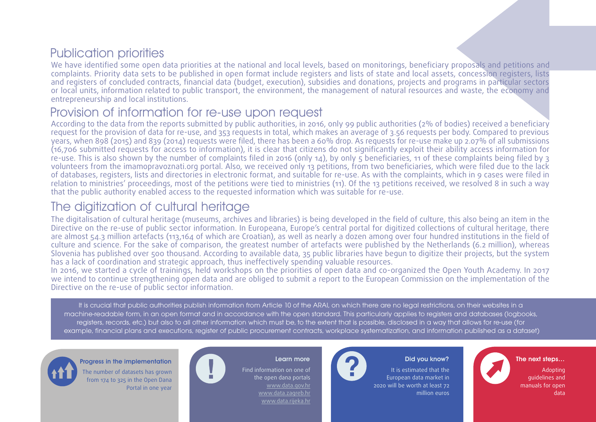## Publication priorities

We have identified some open data priorities at the national and local levels, based on monitorings, beneficiary proposals and petitions and complaints. Priority data sets to be published in open format include registers and lists of state and local assets, concession registers, lists and registers of concluded contracts, financial data (budget, execution), subsidies and donations, projects and programs in particular sectors or local units, information related to public transport, the environment, the management of natural resources and waste, the economy and entrepreneurship and local institutions.

#### Provision of information for re-use upon request

According to the data from the reports submitted by public authorities, in 2016, only 99 public authorities (2% of bodies) received a beneficiary request for the provision of data for re-use, and 353 requests in total, which makes an average of 3.56 requests per body. Compared to previous years, when 898 (2015) and 839 (2014) requests were filed, there has been a 60% drop. As requests for re-use make up 2.07% of all submissions (16,706 submitted requests for access to information), it is clear that citizens do not significantly exploit their ability access information for re-use. This is also shown by the number of complaints filed in 2016 (only 14), by only 5 beneficiaries, 11 of these complaints being filed by 3 volunteers from the imamopravoznati.org portal. Also, we received only 13 petitions, from two beneficiaries, which were filed due to the lack of databases, registers, lists and directories in electronic format, and suitable for re-use. As with the complaints, which in 9 cases were filed in relation to ministries' proceedings, most of the petitions were tied to ministries (11). Of the 13 petitions received, we resolved 8 in such a way that the public authority enabled access to the requested information which was suitable for re-use.

## The digitization of cultural heritage

The digitalisation of cultural heritage (museums, archives and libraries) is being developed in the field of culture, this also being an item in the Directive on the re-use of public sector information. In Europeana, Europe's central portal for digitized collections of cultural heritage, there are almost 54.3 million artefacts (113,164 of which are Croatian), as well as nearly a dozen among over four hundred institutions in the field of culture and science. For the sake of comparison, the greatest number of artefacts were published by the Netherlands (6.2 million), whereas Slovenia has published over 500 thousand. According to available data, 35 public libraries have begun to digitize their projects, but the system has a lack of coordination and strategic approach, thus ineffectively spending valuable resources.

In 2016, we started a cycle of trainings, held workshops on the priorities of open data and co-organized the Open Youth Academy. In 2017 we intend to continue strengthening open data and are obliged to submit a report to the European Commission on the implementation of the Directive on the re-use of public sector information.

It is crucial that public authorities publish information from Article 10 of the ARAI, on which there are no legal restrictions, on their websites in a machine-readable form, in an open format and in accordance with the open standard. This particularly applies to registers and databases (logbooks, registers, records, etc.) but also to all other information which must be, to the extent that is possible, disclosed in a way that allows for re-use (for example, financial plans and executions, register of public procurement contracts, workplace systematization, and information published as a dataset)



The number of datasets has grown from 174 to 325 in the Open Dana Portal in one year



Find information on one of the open dana portals www.data.gov.hr www.data.zagreb.hr www.data.rijeka.hr



It is estimated that the

European data market in 2020 will be worth at least 72 million euros



Adopting guidelines and manuals for open data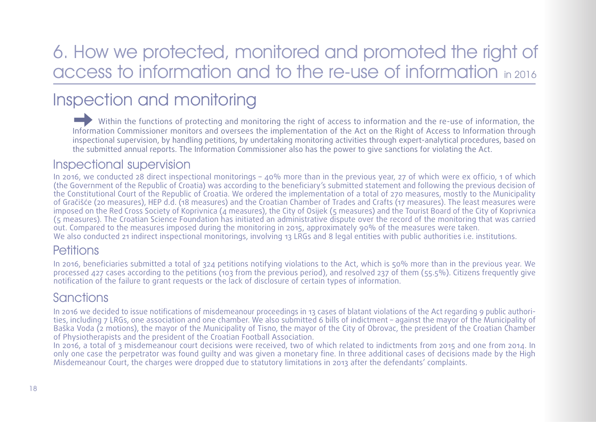# <span id="page-17-0"></span>6. How we protected, monitored and promoted the right of access to information and to the re-use of information in 2016

# Inspection and monitoring

Within the functions of protecting and monitoring the right of access to information and the re-use of information, the Information Commissioner monitors and oversees the implementation of the Act on the Right of Access to Information through inspectional supervision, by handling petitions, by undertaking monitoring activities through expert-analytical procedures, based on the submitted annual reports. The Information Commissioner also has the power to give sanctions for violating the Act.

#### Inspectional supervision

In 2016, we conducted 28 direct inspectional monitorings – 40% more than in the previous year, 27 of which were ex officio, 1 of which (the Government of the Republic of Croatia) was according to the beneficiary's submitted statement and following the previous decision of the Constitutional Court of the Republic of Croatia. We ordered the implementation of a total of 270 measures, mostly to the Municipality of Gračišće (20 measures), HEP d.d. (18 measures) and the Croatian Chamber of Trades and Crafts (17 measures). The least measures were imposed on the Red Cross Society of Koprivnica (4 measures), the City of Osijek (5 measures) and the Tourist Board of the City of Koprivnica (5 measures). The Croatian Science Foundation has initiated an administrative dispute over the record of the monitoring that was carried out. Compared to the measures imposed during the monitoring in 2015, approximately 90% of the measures were taken. We also conducted 21 indirect inspectional monitorings, involving 13 LRGs and 8 legal entities with public authorities i.e. institutions.

#### **Petitions**

In 2016, beneficiaries submitted a total of 324 petitions notifying violations to the Act, which is 50% more than in the previous year. We processed 427 cases according to the petitions (103 from the previous period), and resolved 237 of them (55.5%). Citizens frequently give notification of the failure to grant requests or the lack of disclosure of certain types of information.

### Sanctions

In 2016 we decided to issue notifications of misdemeanour proceedings in 13 cases of blatant violations of the Act regarding 9 public authorities, including 7 LRGs, one association and one chamber. We also submitted 6 bills of indictment – against the mayor of the Municipality of Baška Voda (2 motions), the mayor of the Municipality of Tisno, the mayor of the City of Obrovac, the president of the Croatian Chamber of Physiotherapists and the president of the Croatian Football Association.

In 2016, a total of 3 misdemeanour court decisions were received, two of which related to indictments from 2015 and one from 2014. In only one case the perpetrator was found guilty and was given a monetary fine. In three additional cases of decisions made by the High Misdemeanour Court, the charges were dropped due to statutory limitations in 2013 after the defendants' complaints.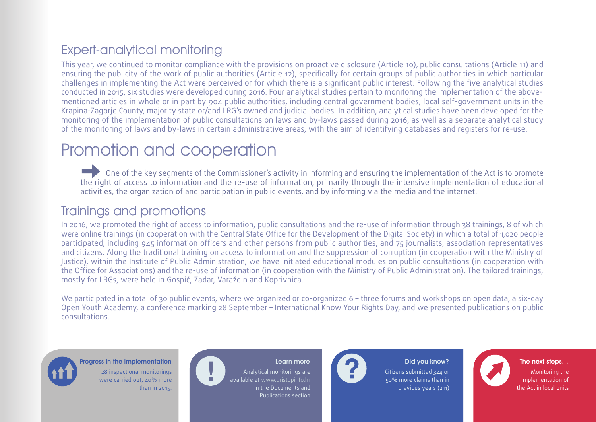## Expert-analytical monitoring

This year, we continued to monitor compliance with the provisions on proactive disclosure (Article 10), public consultations (Article 11) and ensuring the publicity of the work of public authorities (Article 12), specifically for certain groups of public authorities in which particular challenges in implementing the Act were perceived or for which there is a significant public interest. Following the five analytical studies conducted in 2015, six studies were developed during 2016. Four analytical studies pertain to monitoring the implementation of the abovementioned articles in whole or in part by 904 public authorities, including central government bodies, local self-government units in the Krapina-Zagorje County, majority state or/and LRG's owned and judicial bodies. In addition, analytical studies have been developed for the monitoring of the implementation of public consultations on laws and by-laws passed during 2016, as well as a separate analytical study of the monitoring of laws and by-laws in certain administrative areas, with the aim of identifying databases and registers for re-use.

# Promotion and cooperation

One of the key segments of the Commissioner's activity in informing and ensuring the implementation of the Act is to promote the right of access to information and the re-use of information, primarily through the intensive implementation of educational activities, the organization of and participation in public events, and by informing via the media and the internet.

### Trainings and promotions

In 2016, we promoted the right of access to information, public consultations and the re-use of information through 38 trainings, 8 of which were online trainings (in cooperation with the Central State Office for the Development of the Digital Society) in which a total of 1,020 people participated, including 945 information officers and other persons from public authorities, and 75 journalists, association representatives and citizens. Along the traditional training on access to information and the suppression of corruption (in cooperation with the Ministry of Justice), within the Institute of Public Administration, we have initiated educational modules on public consultations (in cooperation with the Office for Associations) and the re-use of information (in cooperation with the Ministry of Public Administration). The tailored trainings, mostly for LRGs, were held in Gospić, Zadar, Varaždin and Koprivnica.

We participated in a total of 30 public events, where we organized or co-organized 6 – three forums and workshops on open data, a six-day Open Youth Academy, a conference marking 28 September – International Know Your Rights Day, and we presented publications on public consultations.



Progress in the implementation **EXT AND REALLY CONSUMING THE NEXT AND REALLY CONSUMING THE NEXT STEP AND REALLY CONSUMING THE NEXT STEPS…** 28 inspectional monitorings were carried out, 40% more than in 2015.

Analytical monitorings are available at www.pristupinfo.hr in the Documents and Publications section



Citizens submitted 324 or 50% more claims than in previous years (211)

the Act in local units Monitoring the implementation of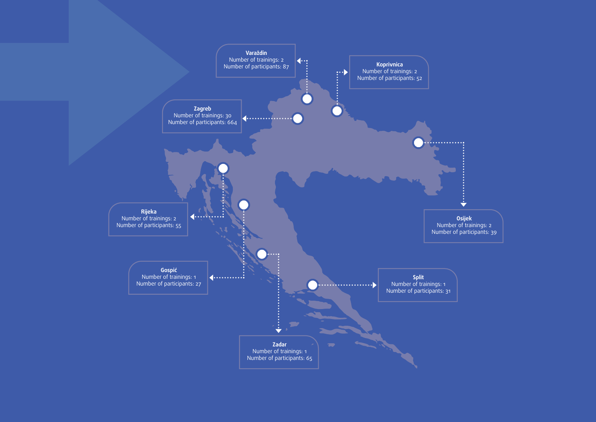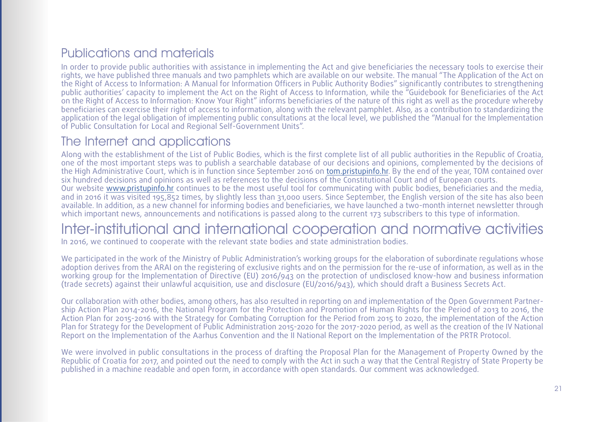## Publications and materials

In order to provide public authorities with assistance in implementing the Act and give beneficiaries the necessary tools to exercise their rights, we have published three manuals and two pamphlets which are available on our website. The manual "The Application of the Act on the Right of Access to Information: A Manual for Information Officers in Public Authority Bodies" significantly contributes to strengthening public authorities' capacity to implement the Act on the Right of Access to Information, while the "Guidebook for Beneficiaries of the Act on the Right of Access to Information: Know Your Right" informs beneficiaries of the nature of this right as well as the procedure whereby beneficiaries can exercise their right of access to information, along with the relevant pamphlet. Also, as a contribution to standardizing the application of the legal obligation of implementing public consultations at the local level, we published the "Manual for the Implementation of Public Consultation for Local and Regional Self-Government Units".

### The Internet and applications

Along with the establishment of the List of Public Bodies, which is the first complete list of all public authorities in the Republic of Croatia, one of the most important steps was to publish a searchable database of our decisions and opinions, complemented by the decisions of the High Administrative Court, which is in function since September 2016 on [tom.pristupinfo.hr](http://tom.pristupinfo.hr). By the end of the year, TOM contained over six hundred decisions and opinions as well as references to the decisions of the Constitutional Court and of European courts. Our website [www.pristupinfo.hr](http://www.pristupinfo.hr) continues to be the most useful tool for communicating with public bodies, beneficiaries and the media, and in 2016 it was visited 195,852 times, by slightly less than 31,000 users. Since September, the English version of the site has also been available. In addition, as a new channel for informing bodies and beneficiaries, we have launched a two-month internet newsletter through which important news, announcements and notifications is passed along to the current 173 subscribers to this type of information.

## Inter-institutional and international cooperation and normative activities

In 2016, we continued to cooperate with the relevant state bodies and state administration bodies.

We participated in the work of the Ministry of Public Administration's working groups for the elaboration of subordinate regulations whose adoption derives from the ARAI on the registering of exclusive rights and on the permission for the re-use of information, as well as in the working group for the Implementation of Directive (EU) 2016/943 on the protection of undisclosed know-how and business information (trade secrets) against their unlawful acquisition, use and disclosure (EU/2016/943), which should draft a Business Secrets Act.

Our collaboration with other bodies, among others, has also resulted in reporting on and implementation of the Open Government Partnership Action Plan 2014-2016, the National Program for the Protection and Promotion of Human Rights for the Period of 2013 to 2016, the Action Plan for 2015-2016 with the Strategy for Combating Corruption for the Period from 2015 to 2020, the implementation of the Action Plan for Strategy for the Development of Public Administration 2015-2020 for the 2017-2020 period, as well as the creation of the IV National Report on the Implementation of the Aarhus Convention and the II National Report on the Implementation of the PRTR Protocol.

We were involved in public consultations in the process of drafting the Proposal Plan for the Management of Property Owned by the Republic of Croatia for 2017, and pointed out the need to comply with the Act in such a way that the Central Registry of State Property be published in a machine readable and open form, in accordance with open standards. Our comment was acknowledged.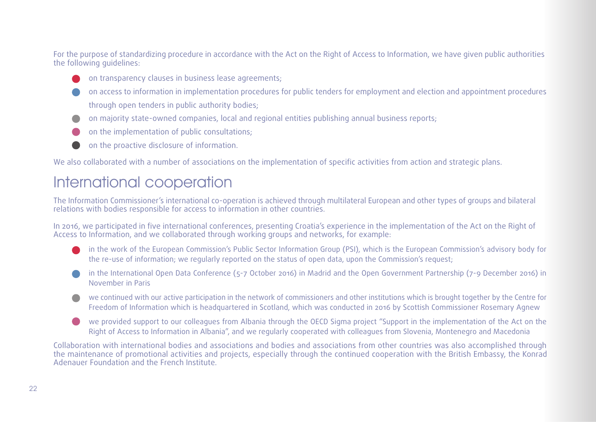<span id="page-21-0"></span>For the purpose of standardizing procedure in accordance with the Act on the Right of Access to Information, we have given public authorities the following guidelines:

- on transparency clauses in business lease agreements;
- on access to information in implementation procedures for public tenders for employment and election and appointment procedures through open tenders in public authority bodies;
- on majority state-owned companies, local and regional entities publishing annual business reports;
- on the implementation of public consultations;
- on the proactive disclosure of information.

We also collaborated with a number of associations on the implementation of specific activities from action and strategic plans.

## International cooperation

The Information Commissioner's international co-operation is achieved through multilateral European and other types of groups and bilateral relations with bodies responsible for access to information in other countries.

In 2016, we participated in five international conferences, presenting Croatia's experience in the implementation of the Act on the Right of Access to Information, and we collaborated through working groups and networks, for example:

- in the work of the European Commission's Public Sector Information Group (PSI), which is the European Commission's advisory body for the re-use of information; we regularly reported on the status of open data, upon the Commission's request;
- in the International Open Data Conference (5-7 October 2016) in Madrid and the Open Government Partnership (7-9 December 2016) in November in Paris
- we continued with our active participation in the network of commissioners and other institutions which is brought together by the Centre for Freedom of Information which is headquartered in Scotland, which was conducted in 2016 by Scottish Commissioner Rosemary Agnew
- we provided support to our colleagues from Albania through the OECD Sigma project "Support in the implementation of the Act on the Right of Access to Information in Albania", and we regularly cooperated with colleagues from Slovenia, Montenegro and Macedonia

Collaboration with international bodies and associations and bodies and associations from other countries was also accomplished through the maintenance of promotional activities and projects, especially through the continued cooperation with the British Embassy, the Konrad Adenauer Foundation and the French Institute.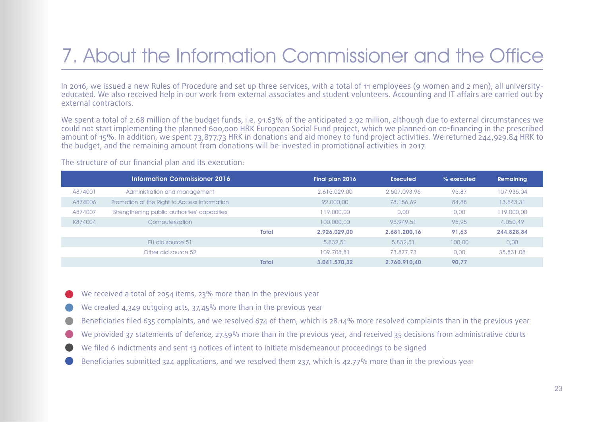# <span id="page-22-0"></span>7. About the Information Commissioner and the Office

In 2016, we issued a new Rules of Procedure and set up three services, with a total of 11 employees (9 women and 2 men), all universityeducated. We also received help in our work from external associates and student volunteers. Accounting and IT affairs are carried out by external contractors.

We spent a total of 2.68 million of the budget funds, i.e. 91.63% of the anticipated 2.92 million, although due to external circumstances we could not start implementing the planned 600,000 HRK European Social Fund project, which we planned on co-financing in the prescribed amount of 15%. In addition, we spent 73,877.73 HRK in donations and aid money to fund project activities. We returned 244,929.84 HRK to the budget, and the remaining amount from donations will be invested in promotional activities in 2017.

|         | <b>Information Commissioner 2016</b>         |       | Final plan 2016 | Executed     | % executed | Remaining  |
|---------|----------------------------------------------|-------|-----------------|--------------|------------|------------|
| A874001 | Administration and management                |       | 2.615.029.00    | 2,507,093,96 | 95,87      | 107,935,04 |
| A874006 | Promotion of the Right to Access Information |       | 92,000,00       | 78,156,69    | 84,88      | 13.843,31  |
| A874007 | Strengthening public authorities' capacities |       | 119,000,00      | 0.00         | 0.00       | 119,000,00 |
| K874004 | Computerization                              |       | 100,000,00      | 95.949.51    | 95,95      | 4,050,49   |
|         |                                              | Total | 2.926.029.00    | 2.681.200.16 | 91.63      | 244.828.84 |
|         | EU aid source 51                             |       | 5.832.51        | 5.832.51     | 100,00     | 0,00       |
|         | Other aid source 52                          |       | 109,708,81      | 73.877.73    | 0.00       | 35,831,08  |
|         |                                              | Total | 3.041.570.32    | 2.760.910.40 | 90.77      |            |

The structure of our financial plan and its execution:

- We received a total of 2054 items, 23% more than in the previous year
- We created 4,349 outgoing acts, 37,45% more than in the previous year
- Beneficiaries filed 635 complaints, and we resolved 674 of them, which is 28.14% more resolved complaints than in the previous year
- We provided 37 statements of defence, 27.59% more than in the previous year, and received 35 decisions from administrative courts
- We filed 6 indictments and sent 13 notices of intent to initiate misdemeanour proceedings to be signed
- Beneficiaries submitted 324 applications, and we resolved them 237, which is 42.77% more than in the previous year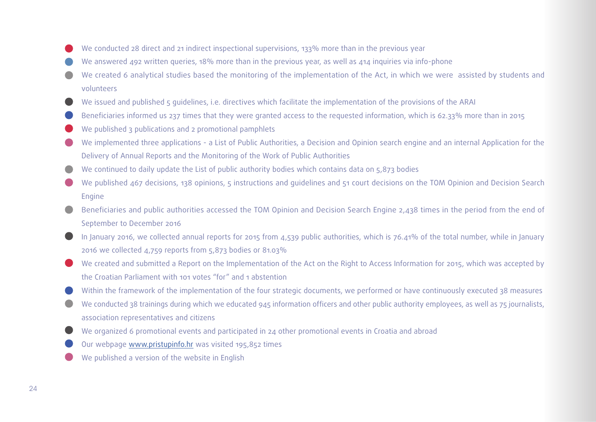- We conducted 28 direct and 21 indirect inspectional supervisions, 133% more than in the previous year
- We answered 492 written queries, 18% more than in the previous year, as well as 414 inquiries via info-phone
- We created 6 analytical studies based the monitoring of the implementation of the Act, in which we were assisted by students and volunteers
- We issued and published 5 quidelines, i.e. directives which facilitate the implementation of the provisions of the ARAI
- Beneficiaries informed us 237 times that they were granted access to the requested information, which is 62.33% more than in 2015
- We published 3 publications and 2 promotional pamphlets
- We implemented three applications a List of Public Authorities, a Decision and Opinion search engine and an internal Application for the Delivery of Annual Reports and the Monitoring of the Work of Public Authorities
- We continued to daily update the List of public authority bodies which contains data on 5,873 bodies  $\qquad \qquad \Box$
- We published 467 decisions, 138 opinions, 5 instructions and quidelines and 51 court decisions on the TOM Opinion and Decision Search Engine
- Beneficiaries and public authorities accessed the TOM Opinion and Decision Search Engine 2,438 times in the period from the end of September to December 2016
- In January 2016, we collected annual reports for 2015 from 4,539 public authorities, which is 76.41% of the total number, while in January 2016 we collected 4,759 reports from 5,873 bodies or 81.03%
- We created and submitted a Report on the Implementation of the Act on the Right to Access Information for 2015, which was accepted by the Croatian Parliament with 101 votes "for" and 1 abstention
- Within the framework of the implementation of the four strategic documents, we performed or have continuously executed 38 measures
- We conducted 38 trainings during which we educated 945 information officers and other public authority employees, as well as 75 journalists, association representatives and citizens
- We organized 6 promotional events and participated in 24 other promotional events in Croatia and abroad
- Our webpage [www.pristupinfo.hr](http://www.pristupinfo.hr) was visited 195,852 times
- We published a version of the website in English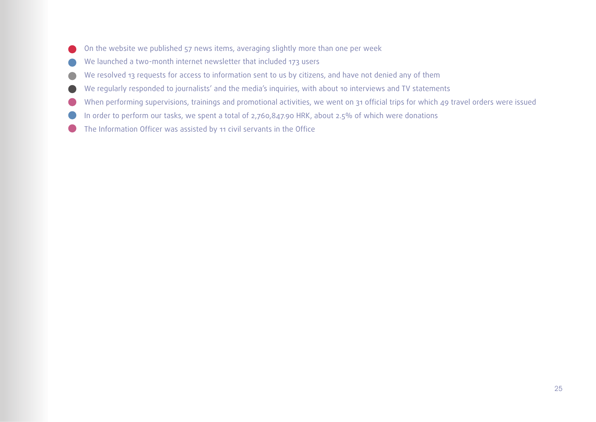- <span id="page-24-0"></span>On the website we published 57 news items, averaging slightly more than one per week
- We launched a two-month internet newsletter that included 173 users
- We resolved 13 requests for access to information sent to us by citizens, and have not denied any of them
- We regularly responded to journalists' and the media's inquiries, with about 10 interviews and TV statements
- When performing supervisions, trainings and promotional activities, we went on 31 official trips for which 49 travel orders were issued
- In order to perform our tasks, we spent a total of 2,760,847.90 HRK, about 2.5% of which were donations
- The Information Officer was assisted by 11 civil servants in the Office $\bullet$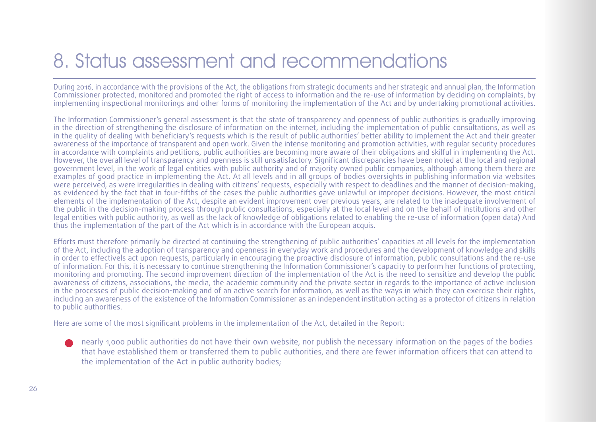# 8. Status assessment and recommendations

During 2016, in accordance with the provisions of the Act, the obligations from strategic documents and her strategic and annual plan, the Information Commissioner protected, monitored and promoted the right of access to information and the re-use of information by deciding on complaints, by implementing inspectional monitorings and other forms of monitoring the implementation of the Act and by undertaking promotional activities.

The Information Commissioner's general assessment is that the state of transparency and openness of public authorities is gradually improving in the direction of strengthening the disclosure of information on the internet, including the implementation of public consultations, as well as in the quality of dealing with beneficiary's requests which is the result of public authorities' better ability to implement the Act and their greater awareness of the importance of transparent and open work. Given the intense monitoring and promotion activities, with regular security procedures in accordance with complaints and petitions, public authorities are becoming more aware of their obligations and skilful in implementing the Act. However, the overall level of transparency and openness is still unsatisfactory. Significant discrepancies have been noted at the local and regional government level, in the work of legal entities with public authority and of majority owned public companies, although among them there are examples of good practice in implementing the Act. At all levels and in all groups of bodies oversights in publishing information via websites were perceived, as were irregularities in dealing with citizens' requests, especially with respect to deadlines and the manner of decision-making, as evidenced by the fact that in four-fifths of the cases the public authorities gave unlawful or improper decisions. However, the most critical elements of the implementation of the Act, despite an evident improvement over previous years, are related to the inadequate involvement of the public in the decision-making process through public consultations, especially at the local level and on the behalf of institutions and other legal entities with public authority, as well as the lack of knowledge of obligations related to enabling the re-use of information (open data) And thus the implementation of the part of the Act which is in accordance with the European acquis.

Efforts must therefore primarily be directed at continuing the strengthening of public authorities' capacities at all levels for the implementation of the Act, including the adoption of transparency and openness in everyday work and procedures and the development of knowledge and skills in order to effectivels act upon requests, particularly in encouraging the proactive disclosure of information, public consultations and the re-use of information. For this, it is necessary to continue strengthening the Information Commissioner's capacity to perform her functions of protecting, monitoring and promoting. The second improvement direction of the implementation of the Act is the need to sensitize and develop the public awareness of citizens, associations, the media, the academic community and the private sector in regards to the importance of active inclusion in the processes of public decision-making and of an active search for information, as well as the ways in which they can exercise their rights, including an awareness of the existence of the Information Commissioner as an independent institution acting as a protector of citizens in relation to public authorities.

Here are some of the most significant problems in the implementation of the Act, detailed in the Report:

nearly 1,000 public authorities do not have their own website, nor publish the necessary information on the pages of the bodies that have established them or transferred them to public authorities, and there are fewer information officers that can attend to the implementation of the Act in public authority bodies;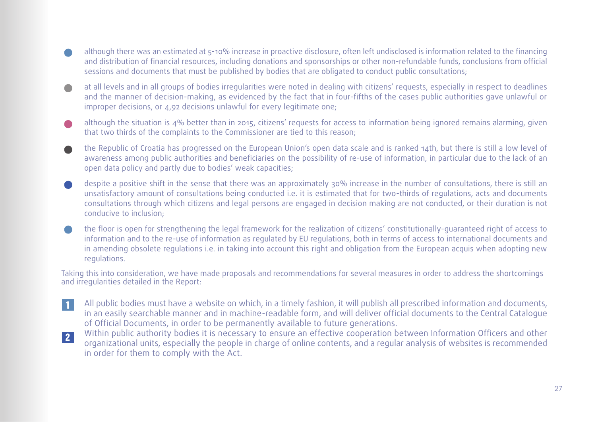- although there was an estimated at 5-10% increase in proactive disclosure, often left undisclosed is information related to the financing and distribution of financial resources, including donations and sponsorships or other non-refundable funds, conclusions from official sessions and documents that must be published by bodies that are obligated to conduct public consultations;
- at all levels and in all groups of bodies irregularities were noted in dealing with citizens' requests, especially in respect to deadlines  $\blacksquare$ and the manner of decision-making, as evidenced by the fact that in four-fifths of the cases public authorities gave unlawful or improper decisions, or 4,92 decisions unlawful for every legitimate one;
- although the situation is 4% better than in 2015, citizens' requests for access to information being ignored remains alarming, given that two thirds of the complaints to the Commissioner are tied to this reason;
- the Republic of Croatia has progressed on the European Union's open data scale and is ranked 14th, but there is still a low level of awareness among public authorities and beneficiaries on the possibility of re-use of information, in particular due to the lack of an open data policy and partly due to bodies' weak capacities;
- despite a positive shift in the sense that there was an approximately 30% increase in the number of consultations, there is still an unsatisfactory amount of consultations being conducted i.e. it is estimated that for two-thirds of regulations, acts and documents consultations through which citizens and legal persons are engaged in decision making are not conducted, or their duration is not conducive to inclusion;
- the floor is open for strengthening the legal framework for the realization of citizens' constitutionally-guaranteed right of access to information and to the re-use of information as regulated by EU regulations, both in terms of access to international documents and in amending obsolete regulations i.e. in taking into account this right and obligation from the European acquis when adopting new regulations.

Taking this into consideration, we have made proposals and recommendations for several measures in order to address the shortcomings and irregularities detailed in the Report:

- 1 All public bodies must have a website on which, in a timely fashion, it will publish all prescribed information and documents, in an easily searchable manner and in machine-readable form, and will deliver official documents to the Central Catalogue of Official Documents, in order to be permanently available to future generations.
- 2 Within public authority bodies it is necessary to ensure an effective cooperation between Information Officers and other organizational units, especially the people in charge of online contents, and a regular analysis of websites is recommended in order for them to comply with the Act.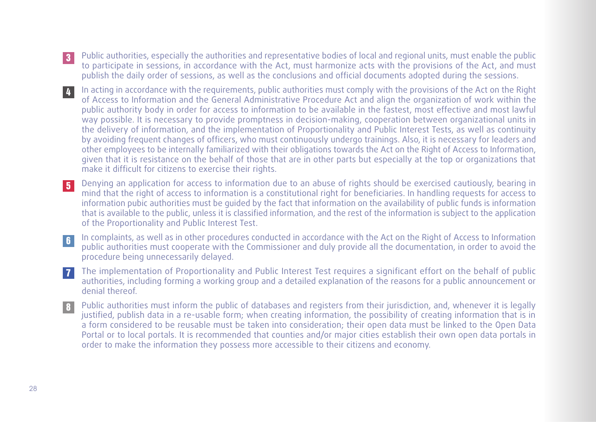- 3 Public authorities, especially the authorities and representative bodies of local and regional units, must enable the public to participate in sessions, in accordance with the Act, must harmonize acts with the provisions of the Act, and must publish the daily order of sessions, as well as the conclusions and official documents adopted during the sessions.
- 4 In acting in accordance with the requirements, public authorities must comply with the provisions of the Act on the Right of Access to Information and the General Administrative Procedure Act and align the organization of work within the public authority body in order for access to information to be available in the fastest, most effective and most lawful way possible. It is necessary to provide promptness in decision-making, cooperation between organizational units in the delivery of information, and the implementation of Proportionality and Public Interest Tests, as well as continuity by avoiding frequent changes of officers, who must continuously undergo trainings. Also, it is necessary for leaders and other employees to be internally familiarized with their obligations towards the Act on the Right of Access to Information, given that it is resistance on the behalf of those that are in other parts but especially at the top or organizations that make it difficult for citizens to exercise their rights.
- 5 Denying an application for access to information due to an abuse of rights should be exercised cautiously, bearing in mind that the right of access to information is a constitutional right for beneficiaries. In handling requests for access to information pubic authorities must be guided by the fact that information on the availability of public funds is information that is available to the public, unless it is classified information, and the rest of the information is subject to the application of the Proportionality and Public Interest Test.
- 6 In complaints, as well as in other procedures conducted in accordance with the Act on the Right of Access to Information public authorities must cooperate with the Commissioner and duly provide all the documentation, in order to avoid the procedure being unnecessarily delayed.
- 7 The implementation of Proportionality and Public Interest Test requires a significant effort on the behalf of public authorities, including forming a working group and a detailed explanation of the reasons for a public announcement or denial thereof.
- 8 Public authorities must inform the public of databases and registers from their jurisdiction, and, whenever it is legally justified, publish data in a re-usable form; when creating information, the possibility of creating information that is in a form considered to be reusable must be taken into consideration; their open data must be linked to the Open Data Portal or to local portals. It is recommended that counties and/or major cities establish their own open data portals in order to make the information they possess more accessible to their citizens and economy.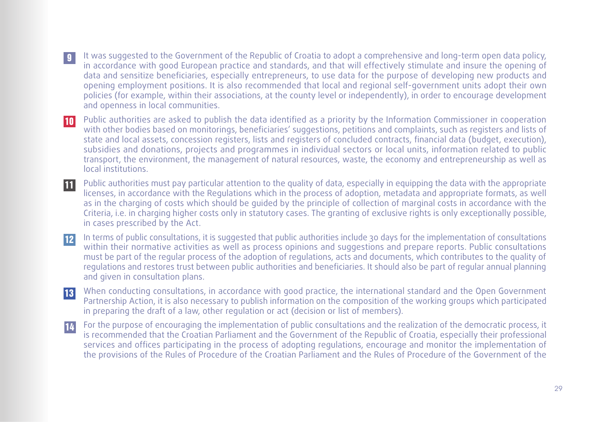- 9 It was suggested to the Government of the Republic of Croatia to adopt a comprehensive and long-term open data policy, in accordance with good European practice and standards, and that will effectively stimulate and insure the opening of data and sensitize beneficiaries, especially entrepreneurs, to use data for the purpose of developing new products and opening employment positions. It is also recommended that local and regional self-government units adopt their own policies (for example, within their associations, at the county level or independently), in order to encourage development and openness in local communities.
- 10 Public authorities are asked to publish the data identified as a priority by the Information Commissioner in cooperation with other bodies based on monitorings, beneficiaries' suggestions, petitions and complaints, such as registers and lists of state and local assets, concession registers, lists and registers of concluded contracts, financial data (budget, execution), subsidies and donations, projects and programmes in individual sectors or local units, information related to public transport, the environment, the management of natural resources, waste, the economy and entrepreneurship as well as local institutions.
- 11 Public authorities must pay particular attention to the quality of data, especially in equipping the data with the appropriate licenses, in accordance with the Regulations which in the process of adoption, metadata and appropriate formats, as well as in the charging of costs which should be guided by the principle of collection of marginal costs in accordance with the Criteria, i.e. in charging higher costs only in statutory cases. The granting of exclusive rights is only exceptionally possible, in cases prescribed by the Act.
- 12 In terms of public consultations, it is suggested that public authorities include 30 days for the implementation of consultations within their normative activities as well as process opinions and suggestions and prepare reports. Public consultations must be part of the regular process of the adoption of regulations, acts and documents, which contributes to the quality of regulations and restores trust between public authorities and beneficiaries. It should also be part of regular annual planning and given in consultation plans.
- 13 When conducting consultations, in accordance with good practice, the international standard and the Open Government Partnership Action, it is also necessary to publish information on the composition of the working groups which participated in preparing the draft of a law, other regulation or act (decision or list of members).
- 14 For the purpose of encouraging the implementation of public consultations and the realization of the democratic process, it is recommended that the Croatian Parliament and the Government of the Republic of Croatia, especially their professional services and offices participating in the process of adopting regulations, encourage and monitor the implementation of the provisions of the Rules of Procedure of the Croatian Parliament and the Rules of Procedure of the Government of the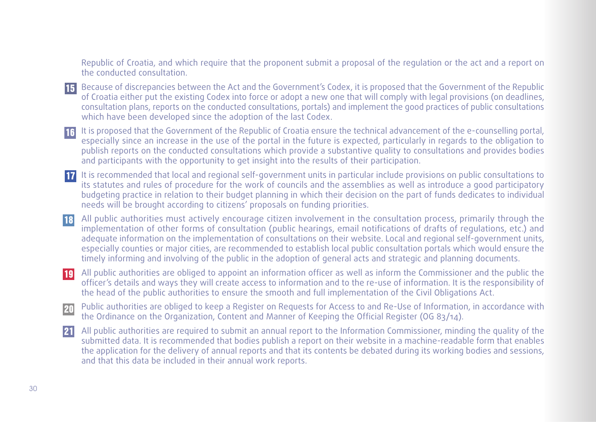Republic of Croatia, and which require that the proponent submit a proposal of the regulation or the act and a report on the conducted consultation.

- 15 Because of discrepancies between the Act and the Government's Codex, it is proposed that the Government of the Republic of Croatia either put the existing Codex into force or adopt a new one that will comply with legal provisions (on deadlines, consultation plans, reports on the conducted consultations, portals) and implement the good practices of public consultations which have been developed since the adoption of the last Codex.
- 16 It is proposed that the Government of the Republic of Croatia ensure the technical advancement of the e-counselling portal, especially since an increase in the use of the portal in the future is expected, particularly in regards to the obligation to publish reports on the conducted consultations which provide a substantive quality to consultations and provides bodies and participants with the opportunity to get insight into the results of their participation.
- 17 It is recommended that local and regional self-government units in particular include provisions on public consultations to its statutes and rules of procedure for the work of councils and the assemblies as well as introduce a good participatory budgeting practice in relation to their budget planning in which their decision on the part of funds dedicates to individual needs will be brought according to citizens' proposals on funding priorities.
- 18 All public authorities must actively encourage citizen involvement in the consultation process, primarily through the implementation of other forms of consultation (public hearings, email notifications of drafts of regulations, etc.) and adequate information on the implementation of consultations on their website. Local and regional self-government units, especially counties or major cities, are recommended to establish local public consultation portals which would ensure the timely informing and involving of the public in the adoption of general acts and strategic and planning documents.
- 19 All public authorities are obliged to appoint an information officer as well as inform the Commissioner and the public the officer's details and ways they will create access to information and to the re-use of information. It is the responsibility of the head of the public authorities to ensure the smooth and full implementation of the Civil Obligations Act.
- 20 Public authorities are obliged to keep a Register on Requests for Access to and Re-Use of Information, in accordance with the Ordinance on the Organization, Content and Manner of Keeping the Official Register (OG 83/14).
- 21 All public authorities are required to submit an annual report to the Information Commissioner, minding the quality of the submitted data. It is recommended that bodies publish a report on their website in a machine-readable form that enables the application for the delivery of annual reports and that its contents be debated during its working bodies and sessions, and that this data be included in their annual work reports.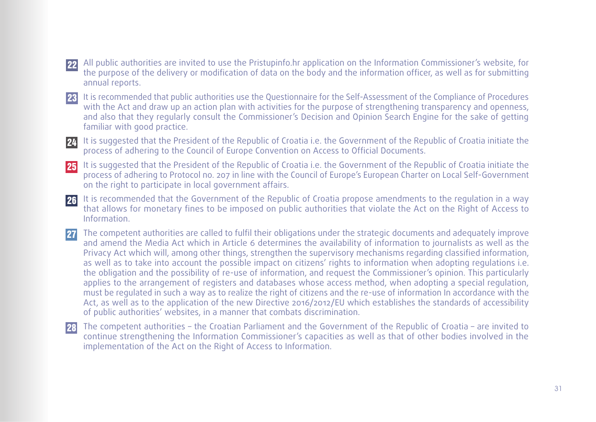22 All public authorities are invited to use the Pristupinfo.hr application on the Information Commissioner's website, for the purpose of the delivery or modification of data on the body and the information officer, as well as for submitting annual reports.

- 23 It is recommended that public authorities use the Questionnaire for the Self-Assessment of the Compliance of Procedures with the Act and draw up an action plan with activities for the purpose of strengthening transparency and openness, and also that they regularly consult the Commissioner's Decision and Opinion Search Engine for the sake of getting familiar with good practice.
- 24 It is suggested that the President of the Republic of Croatia i.e. the Government of the Republic of Croatia initiate the process of adhering to the Council of Europe Convention on Access to Official Documents.
- 25 It is suggested that the President of the Republic of Croatia i.e. the Government of the Republic of Croatia initiate the process of adhering to Protocol no. 207 in line with the Council of Europe's European Charter on Local Self-Government on the right to participate in local government affairs.
- 26 It is recommended that the Government of the Republic of Croatia propose amendments to the regulation in a way that allows for monetary fines to be imposed on public authorities that violate the Act on the Right of Access to Information.
- 27 The competent authorities are called to fulfil their obligations under the strategic documents and adequately improve and amend the Media Act which in Article 6 determines the availability of information to journalists as well as the Privacy Act which will, among other things, strengthen the supervisory mechanisms regarding classified information, as well as to take into account the possible impact on citizens' rights to information when adopting regulations i.e. the obligation and the possibility of re-use of information, and request the Commissioner's opinion. This particularly applies to the arrangement of registers and databases whose access method, when adopting a special regulation, must be regulated in such a way as to realize the right of citizens and the re-use of information In accordance with the Act, as well as to the application of the new Directive 2016/2012/EU which establishes the standards of accessibility of public authorities' websites, in a manner that combats discrimination.
- 28 The competent authorities – the Croatian Parliament and the Government of the Republic of Croatia – are invited to continue strengthening the Information Commissioner's capacities as well as that of other bodies involved in the implementation of the Act on the Right of Access to Information.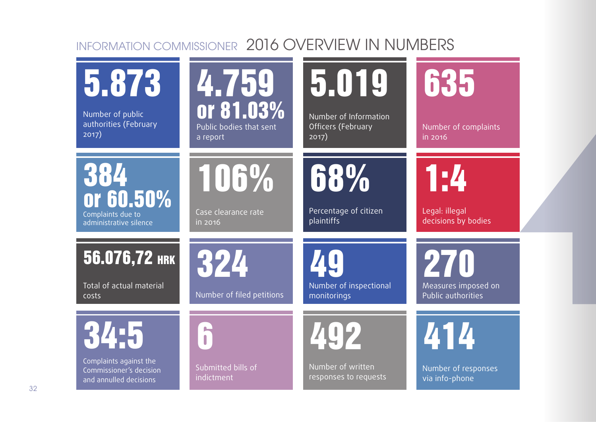## INFORMATION COMMISSIONER 2016 OVERVIEW IN NUMBERS

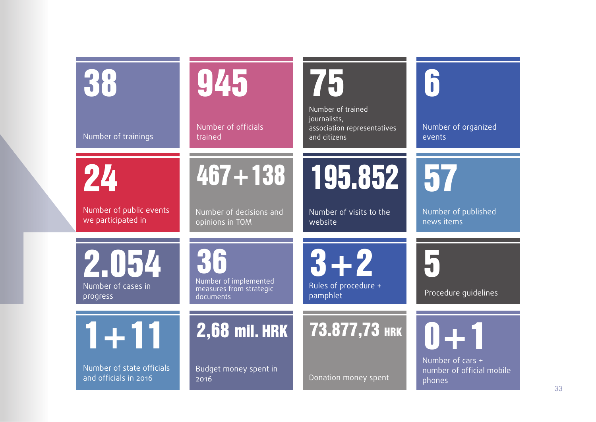| 38                                                 | 945                                                                  | 75                                                                               | 5                                                         |
|----------------------------------------------------|----------------------------------------------------------------------|----------------------------------------------------------------------------------|-----------------------------------------------------------|
| Number of trainings                                | Number of officials<br>trained                                       | Number of trained<br>journalists,<br>association representatives<br>and citizens | Number of organized<br>events                             |
| 24                                                 | $467 + 138$                                                          | 195.852                                                                          | 57                                                        |
| Number of public events<br>we participated in      | Number of decisions and<br>opinions in TOM                           | Number of visits to the<br>website                                               | Number of published<br>news items                         |
| 2.054<br>Number of cases in<br>progress            | Kit<br>Number of implemented<br>measures from strategic<br>documents | $3 + 2$<br>Rules of procedure +<br>pamphlet                                      | <b> -</b><br>Procedure quidelines                         |
| $1 + 11$                                           | <b>2,68 mil. HRK</b>                                                 | 73.877,73 HRK                                                                    | $0 + 1$                                                   |
| Number of state officials<br>and officials in 2016 | Budget money spent in<br>2016                                        | Donation money spent                                                             | Number of cars $+$<br>number of official mobile<br>phones |